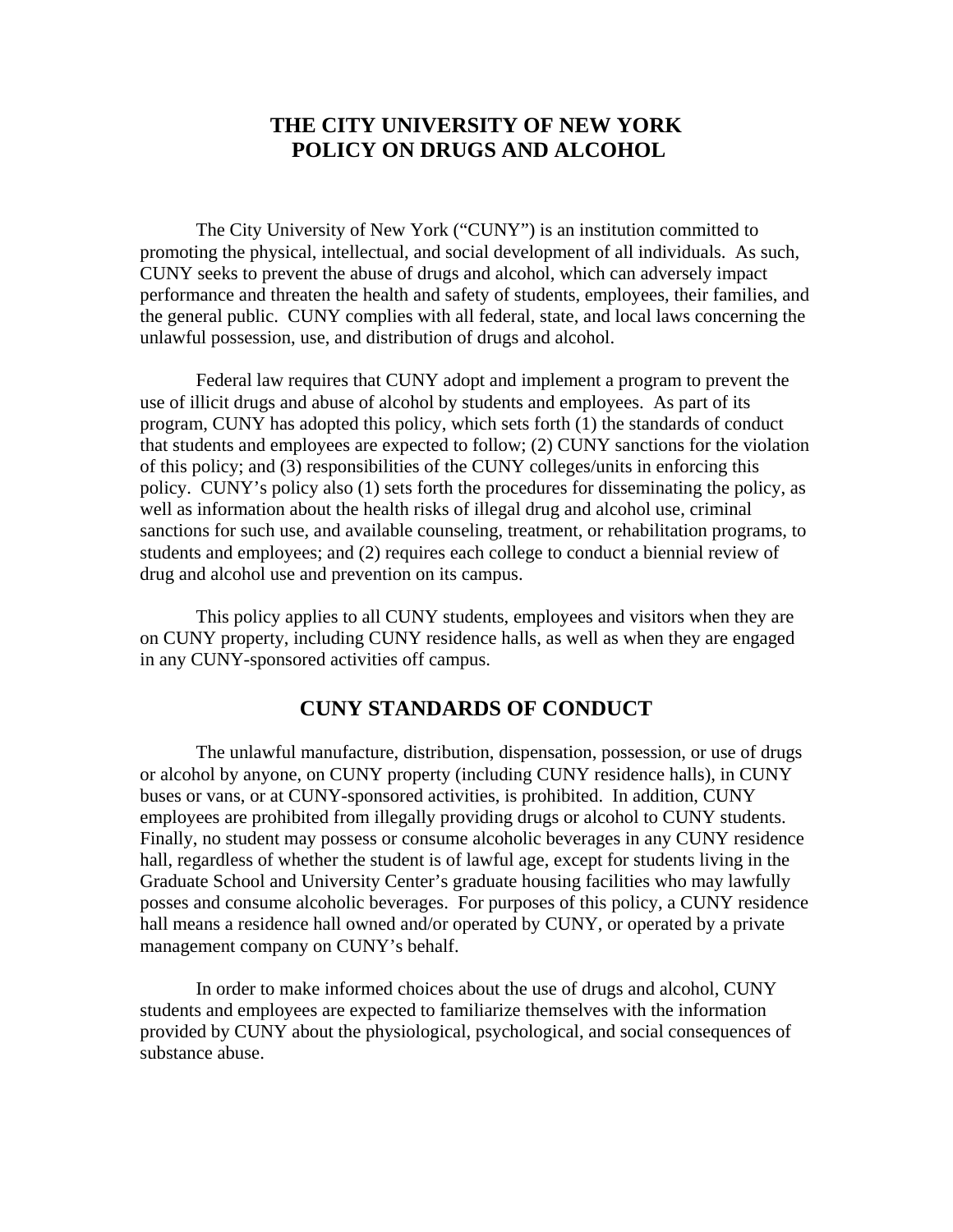# **THE CITY UNIVERSITY OF NEW YORK POLICY ON DRUGS AND ALCOHOL**

 The City University of New York ("CUNY") is an institution committed to promoting the physical, intellectual, and social development of all individuals. As such, CUNY seeks to prevent the abuse of drugs and alcohol, which can adversely impact performance and threaten the health and safety of students, employees, their families, and the general public. CUNY complies with all federal, state, and local laws concerning the unlawful possession, use, and distribution of drugs and alcohol.

Federal law requires that CUNY adopt and implement a program to prevent the use of illicit drugs and abuse of alcohol by students and employees. As part of its program, CUNY has adopted this policy, which sets forth (1) the standards of conduct that students and employees are expected to follow; (2) CUNY sanctions for the violation of this policy; and (3) responsibilities of the CUNY colleges/units in enforcing this policy. CUNY's policy also (1) sets forth the procedures for disseminating the policy, as well as information about the health risks of illegal drug and alcohol use, criminal sanctions for such use, and available counseling, treatment, or rehabilitation programs, to students and employees; and (2) requires each college to conduct a biennial review of drug and alcohol use and prevention on its campus.

This policy applies to all CUNY students, employees and visitors when they are on CUNY property, including CUNY residence halls, as well as when they are engaged in any CUNY-sponsored activities off campus.

### **CUNY STANDARDS OF CONDUCT**

The unlawful manufacture, distribution, dispensation, possession, or use of drugs or alcohol by anyone, on CUNY property (including CUNY residence halls), in CUNY buses or vans, or at CUNY-sponsored activities, is prohibited. In addition, CUNY employees are prohibited from illegally providing drugs or alcohol to CUNY students. Finally, no student may possess or consume alcoholic beverages in any CUNY residence hall, regardless of whether the student is of lawful age, except for students living in the Graduate School and University Center's graduate housing facilities who may lawfully posses and consume alcoholic beverages. For purposes of this policy, a CUNY residence hall means a residence hall owned and/or operated by CUNY, or operated by a private management company on CUNY's behalf.

In order to make informed choices about the use of drugs and alcohol, CUNY students and employees are expected to familiarize themselves with the information provided by CUNY about the physiological, psychological, and social consequences of substance abuse.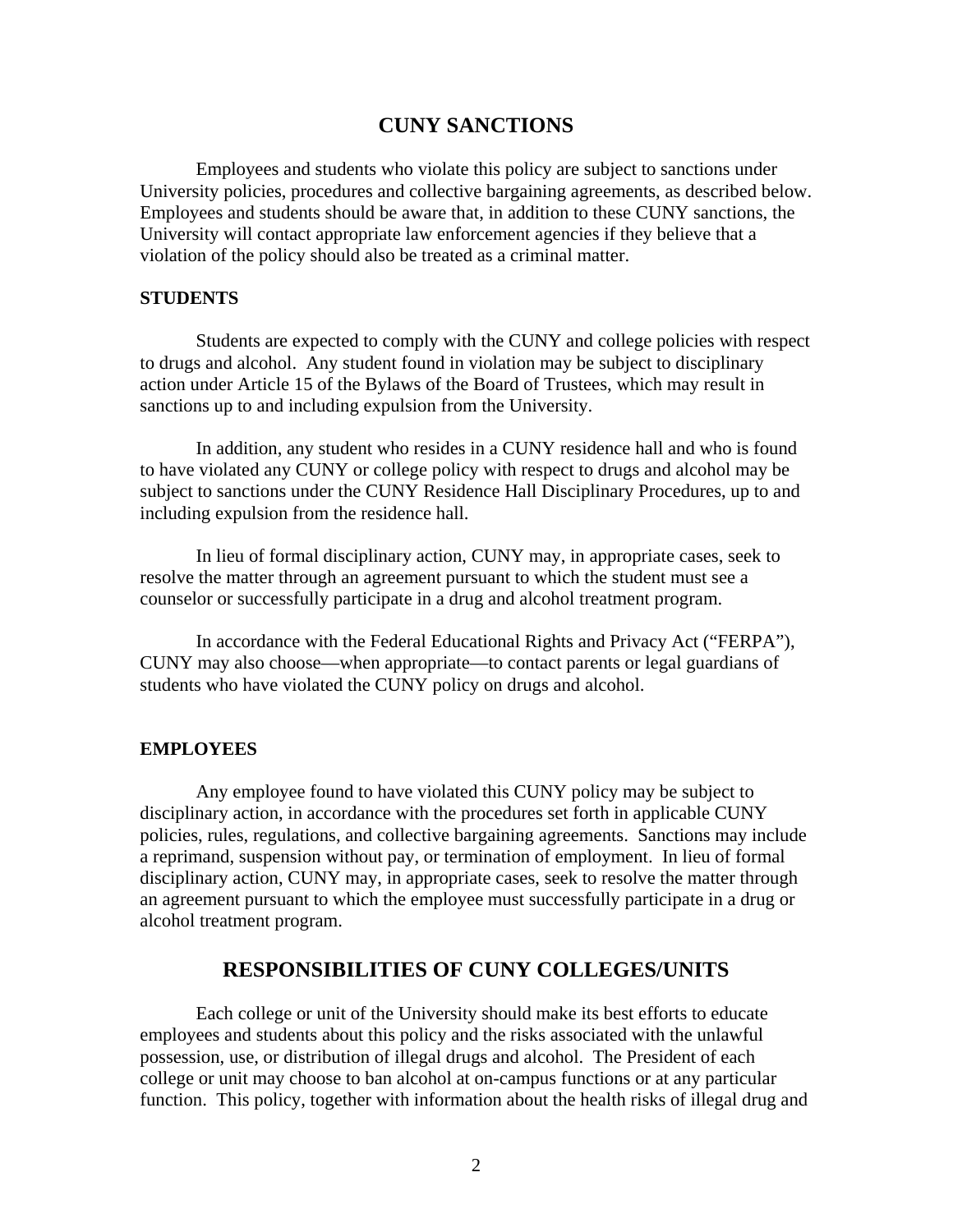### **CUNY SANCTIONS**

Employees and students who violate this policy are subject to sanctions under University policies, procedures and collective bargaining agreements, as described below. Employees and students should be aware that, in addition to these CUNY sanctions, the University will contact appropriate law enforcement agencies if they believe that a violation of the policy should also be treated as a criminal matter.

#### **STUDENTS**

 Students are expected to comply with the CUNY and college policies with respect to drugs and alcohol. Any student found in violation may be subject to disciplinary action under Article 15 of the Bylaws of the Board of Trustees, which may result in sanctions up to and including expulsion from the University.

In addition, any student who resides in a CUNY residence hall and who is found to have violated any CUNY or college policy with respect to drugs and alcohol may be subject to sanctions under the CUNY Residence Hall Disciplinary Procedures, up to and including expulsion from the residence hall.

In lieu of formal disciplinary action, CUNY may, in appropriate cases, seek to resolve the matter through an agreement pursuant to which the student must see a counselor or successfully participate in a drug and alcohol treatment program.

In accordance with the Federal Educational Rights and Privacy Act ("FERPA"), CUNY may also choose—when appropriate—to contact parents or legal guardians of students who have violated the CUNY policy on drugs and alcohol.

#### **EMPLOYEES**

Any employee found to have violated this CUNY policy may be subject to disciplinary action, in accordance with the procedures set forth in applicable CUNY policies, rules, regulations, and collective bargaining agreements. Sanctions may include a reprimand, suspension without pay, or termination of employment. In lieu of formal disciplinary action, CUNY may, in appropriate cases, seek to resolve the matter through an agreement pursuant to which the employee must successfully participate in a drug or alcohol treatment program.

## **RESPONSIBILITIES OF CUNY COLLEGES/UNITS**

Each college or unit of the University should make its best efforts to educate employees and students about this policy and the risks associated with the unlawful possession, use, or distribution of illegal drugs and alcohol. The President of each college or unit may choose to ban alcohol at on-campus functions or at any particular function. This policy, together with information about the health risks of illegal drug and